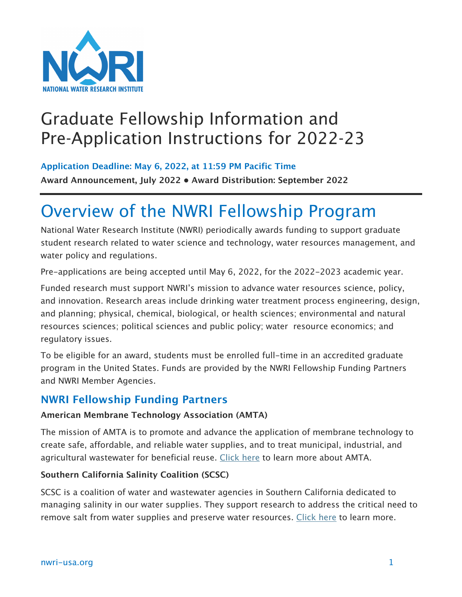

## Graduate Fellowship Information and Pre-Application Instructions for 2022-23

**Application Deadline: May 6, 2022, at 11:59 PM Pacific Time**

**Award Announcement, July 2022 • Award Distribution: September 2022**

## Overview of the NWRI Fellowship Program

National Water Research Institute (NWRI) periodically awards funding to support graduate student research related to water science and technology, water resources management, and water policy and regulations.

Pre-applications are being accepted until May 6, 2022, for the 2022-2023 academic year.

Funded research must support NWRI's mission to advance water resources science, policy, and innovation. Research areas include drinking water treatment process engineering, design, and planning; physical, chemical, biological, or health sciences; environmental and natural resources sciences; political sciences and public policy; water resource economics; and regulatory issues.

To be eligible for an award, students must be enrolled full-time in an accredited graduate program in the United States. Funds are provided by the NWRI Fellowship Funding Partners and NWRI Member Agencies.

#### **NWRI Fellowship Funding Partners**

#### **American Membrane Technology Association (AMTA)**

The mission of AMTA is to promote and advance the application of membrane technology to create safe, affordable, and reliable water supplies, and to treat municipal, industrial, and agricultural wastewater for beneficial reuse. [Click here](https://www.amtaorg.com/) to learn more about AMTA.

#### **Southern California Salinity Coalition (SCSC)**

SCSC is a coalition of water and wastewater agencies in Southern California dedicated to managing salinity in our water supplies. They support research to address the critical need to remove salt from water supplies and preserve water resources. [Click here](https://www.socalsalinity.org/) to learn more.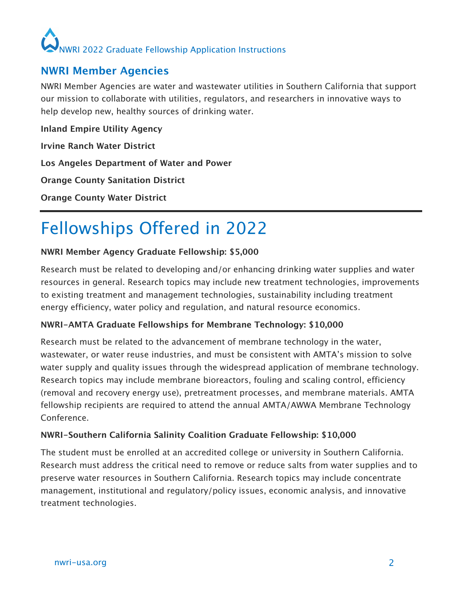# NWRI 2022 Graduate Fellowship Application Instructions

### **NWRI Member Agencies**

NWRI Member Agencies are water and wastewater utilities in Southern California that support our mission to collaborate with utilities, regulators, and researchers in innovative ways to help develop new, healthy sources of drinking water.

**Inland Empire Utility Agency Irvine Ranch Water District**

**Los Angeles Department of Water and Power**

**Orange County Sanitation District**

**Orange County Water District**

# Fellowships Offered in 2022

#### **NWRI Member Agency Graduate Fellowship: \$5,000**

Research must be related to developing and/or enhancing drinking water supplies and water resources in general. Research topics may include new treatment technologies, improvements to existing treatment and management technologies, sustainability including treatment energy efficiency, water policy and regulation, and natural resource economics.

#### **NWRI-AMTA Graduate Fellowships for Membrane Technology: \$10,000**

Research must be related to the advancement of membrane technology in the water, wastewater, or water reuse industries, and must be consistent with AMTA's mission to solve water supply and quality issues through the widespread application of membrane technology. Research topics may include membrane bioreactors, fouling and scaling control, efficiency (removal and recovery energy use), pretreatment processes, and membrane materials. AMTA fellowship recipients are required to attend the annual AMTA/AWWA Membrane Technology Conference.

#### **NWRI-Southern California Salinity Coalition Graduate Fellowship: \$10,000**

The student must be enrolled at an accredited college or university in Southern California. Research must address the critical need to remove or reduce salts from water supplies and to preserve water resources in Southern California. Research topics may include concentrate management, institutional and regulatory/policy issues, economic analysis, and innovative treatment technologies.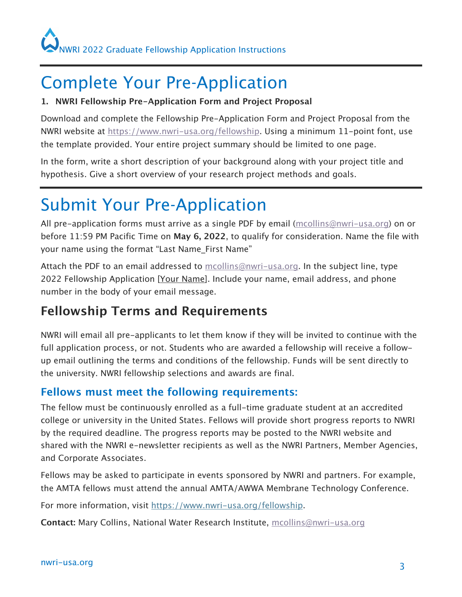# Complete Your Pre-Application

#### **1. NWRI Fellowship Pre-Application Form and Project Proposal**

Download and complete the Fellowship Pre-Application Form and Project Proposal from the NWRI website at [https://www.nwri-usa.org/fellowship. U](https://www.nwri-usa.org/fellowship)sing a minimum 11-point font, use the template provided. Your entire project summary should be limited to one page.

In the form, write a short description of your background along with your project title and hypothesis. Give a short overview of your research project methods and goals.

# Submit Your Pre-Application

All pre-application forms must arrive as a single PDF by email ([mcollins@nwri-usa.org\) on](mailto:mcollins@nwri-usa.org) or before 11:59 PM Pacific Time on **May 6, 2022**, to qualify for consideration. Name the file with your name using the format "Last Name First Name"

Attach the PDF to an email addressed to [mcollins@nwri-usa.org. In](mailto:mcollins@nwri-usa.org) the subject line, type 2022 Fellowship Application [Your Name]. Include your name, email address, and phone number in the body of your email message.

### **Fellowship Terms and Requirements**

NWRI will email all pre-applicants to let them know if they will be invited to continue with the full application process, or not. Students who are awarded a fellowship will receive a followup email outlining the terms and conditions of the fellowship. Funds will be sent directly to the university. NWRI fellowship selections and awards are final.

### **Fellows must meet the following requirements:**

The fellow must be continuously enrolled as a full-time graduate student at an accredited college or university in the United States. Fellows will provide short progress reports to NWRI by the required deadline. The progress reports may be posted to the NWRI website and shared with the NWRI e-newsletter recipients as well as the NWRI Partners, Member Agencies, and Corporate Associates.

Fellows may be asked to participate in events sponsored by NWRI and partners. For example, the AMTA fellows must attend the annual AMTA/AWWA Membrane Technology Conference.

For more information, visit [https://www.nwri-usa.org/fellowship.](https://www.nwri-usa.org/fellowship)

**Contact:** Mary Collins, National Water Research Institute, [mcollins@nwri-usa.org](mailto:mcollins@nwri-usa.org)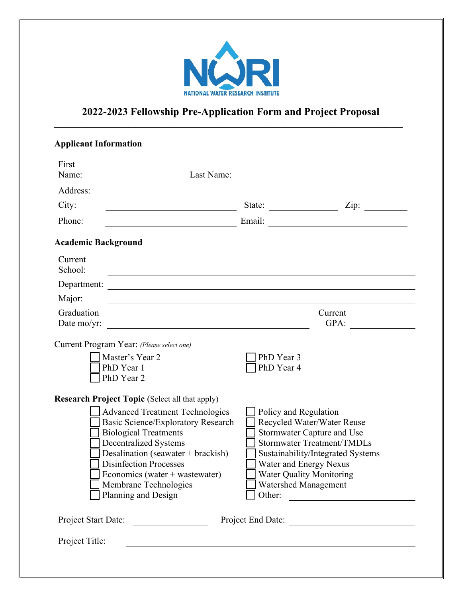

#### **2022-2023 Fellowship Pre-Application Form and Project Proposal**  $\mathcal{L}_\mathcal{L} = \{ \mathcal{L}_\mathcal{L} = \{ \mathcal{L}_\mathcal{L} = \{ \mathcal{L}_\mathcal{L} = \{ \mathcal{L}_\mathcal{L} = \{ \mathcal{L}_\mathcal{L} = \{ \mathcal{L}_\mathcal{L} = \{ \mathcal{L}_\mathcal{L} = \{ \mathcal{L}_\mathcal{L} = \{ \mathcal{L}_\mathcal{L} = \{ \mathcal{L}_\mathcal{L} = \{ \mathcal{L}_\mathcal{L} = \{ \mathcal{L}_\mathcal{L} = \{ \mathcal{L}_\mathcal{L} = \{ \mathcal{L}_\mathcal{$

| <b>Applicant Information</b>                                                                                                                                                                                                                                                                                                                                   |                                                                                                                                                                                                                                      |                                                                                                                                                                                                                                                  |
|----------------------------------------------------------------------------------------------------------------------------------------------------------------------------------------------------------------------------------------------------------------------------------------------------------------------------------------------------------------|--------------------------------------------------------------------------------------------------------------------------------------------------------------------------------------------------------------------------------------|--------------------------------------------------------------------------------------------------------------------------------------------------------------------------------------------------------------------------------------------------|
| First<br>Name:                                                                                                                                                                                                                                                                                                                                                 |                                                                                                                                                                                                                                      |                                                                                                                                                                                                                                                  |
| Address:                                                                                                                                                                                                                                                                                                                                                       |                                                                                                                                                                                                                                      |                                                                                                                                                                                                                                                  |
| City:<br><u> 1989 - Johann Barbara, martin amerikan personal (</u>                                                                                                                                                                                                                                                                                             |                                                                                                                                                                                                                                      | State: $\frac{\text{Size:}}{\text{Size:}}$                                                                                                                                                                                                       |
| Phone:                                                                                                                                                                                                                                                                                                                                                         |                                                                                                                                                                                                                                      |                                                                                                                                                                                                                                                  |
| <b>Academic Background</b>                                                                                                                                                                                                                                                                                                                                     |                                                                                                                                                                                                                                      |                                                                                                                                                                                                                                                  |
| Current<br>School:                                                                                                                                                                                                                                                                                                                                             |                                                                                                                                                                                                                                      |                                                                                                                                                                                                                                                  |
|                                                                                                                                                                                                                                                                                                                                                                |                                                                                                                                                                                                                                      |                                                                                                                                                                                                                                                  |
| Major:                                                                                                                                                                                                                                                                                                                                                         |                                                                                                                                                                                                                                      |                                                                                                                                                                                                                                                  |
| Graduation                                                                                                                                                                                                                                                                                                                                                     |                                                                                                                                                                                                                                      | Current                                                                                                                                                                                                                                          |
| Date mo/yr:                                                                                                                                                                                                                                                                                                                                                    | <u>and the state of the state of the state of the state of the state of the state of the state of the state of the state of the state of the state of the state of the state of the state of the state of the state of the state</u> | GPA: $\qquad \qquad \qquad$                                                                                                                                                                                                                      |
| Current Program Year: (Please select one)<br>Master's Year 2<br>PhD Year 1<br>PhD Year 2                                                                                                                                                                                                                                                                       | PhD Year 3<br>PhD Year 4                                                                                                                                                                                                             |                                                                                                                                                                                                                                                  |
| <b>Research Project Topic (Select all that apply)</b><br><b>Advanced Treatment Technologies</b><br>Basic Science/Exploratory Research<br><b>Biological Treatments</b><br><b>Decentralized Systems</b><br>Desalination (seawater + brackish)<br><b>Disinfection Processes</b><br>Economics (water + wastewater)<br>Membrane Technologies<br>Planning and Design |                                                                                                                                                                                                                                      | Policy and Regulation<br>Recycled Water/Water Reuse<br>Stormwater Capture and Use<br><b>Stormwater Treatment/TMDLs</b><br>Sustainability/Integrated Systems<br>Water and Energy Nexus<br><b>Water Quality Monitoring</b><br>Watershed Management |
| Project Start Date:                                                                                                                                                                                                                                                                                                                                            |                                                                                                                                                                                                                                      | Project End Date:                                                                                                                                                                                                                                |
| Project Title:                                                                                                                                                                                                                                                                                                                                                 |                                                                                                                                                                                                                                      |                                                                                                                                                                                                                                                  |
|                                                                                                                                                                                                                                                                                                                                                                |                                                                                                                                                                                                                                      |                                                                                                                                                                                                                                                  |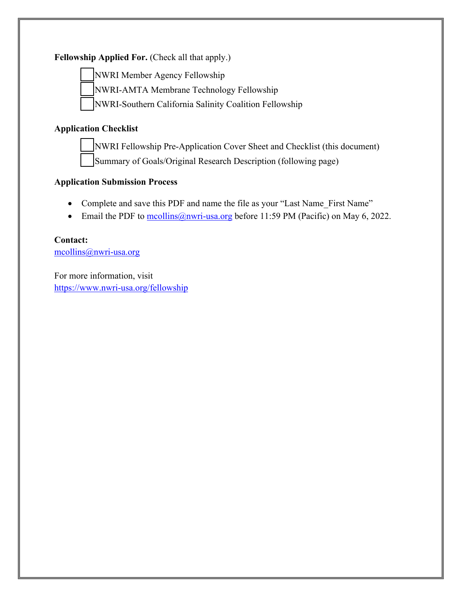#### Fellowship Applied For. (Check all that apply.)



NWRI Member Agency Fellowship

NWRI-AMTA Membrane Technology Fellowship

NWRI-Southern California Salinity Coalition Fellowship

#### **Application Checklist**

NWRI Fellowship Pre-Application Cover Sheet and Checklist (this document) Summary of Goals/Original Research Description (following page)

#### **Application Submission Process**

- Complete and save this PDF and name the file as your "Last Name First Name"
- Email the PDF to  $\frac{\text{mcollins}(a)_{\text{nwri-usa.org}}}{a}$  before 11:59 PM (Pacific) on May 6, 2022.

#### **Contact:**

[mcollins@nwri-usa.org](mailto:mcollins@nwri-usa.org)

For more information, visit <https://www.nwri-usa.org/fellowship>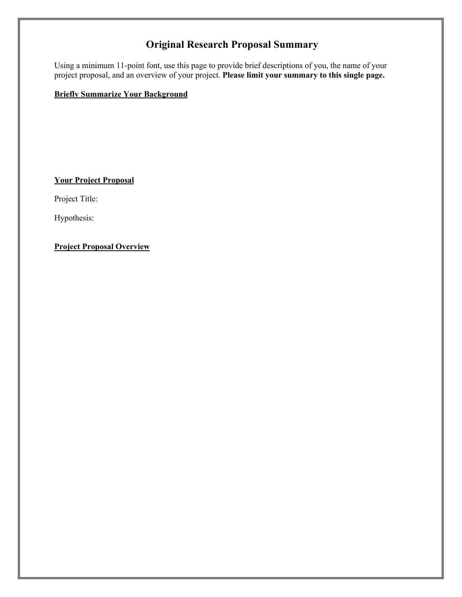### **Original Research Proposal Summary**

Using a minimum 11-point font, use this page to provide brief descriptions of you, the name of your project proposal, and an overview of your project. **Please limit your summary to this single page.**

#### **Briefly Summarize Your Background**

**Your Project Proposal**

Project Title:

Hypothesis:

**Project Proposal Overview**